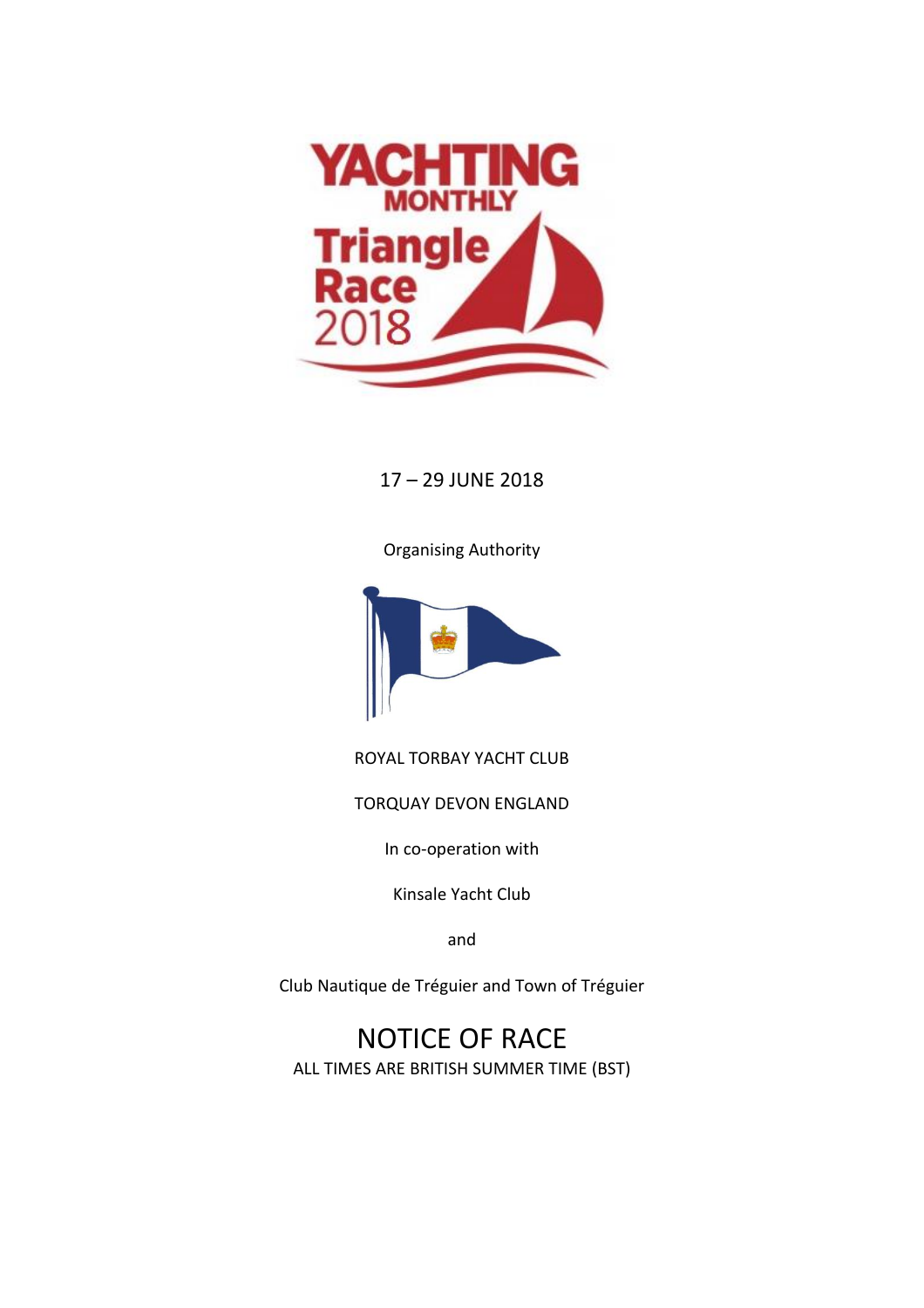

# 17 – 29 JUNE 2018

Organising Authority



ROYAL TORBAY YACHT CLUB

TORQUAY DEVON ENGLAND

In co-operation with

Kinsale Yacht Club

and

Club Nautique de Tréguier and Town of Tréguier

NOTICE OF RACE ALL TIMES ARE BRITISH SUMMER TIME (BST)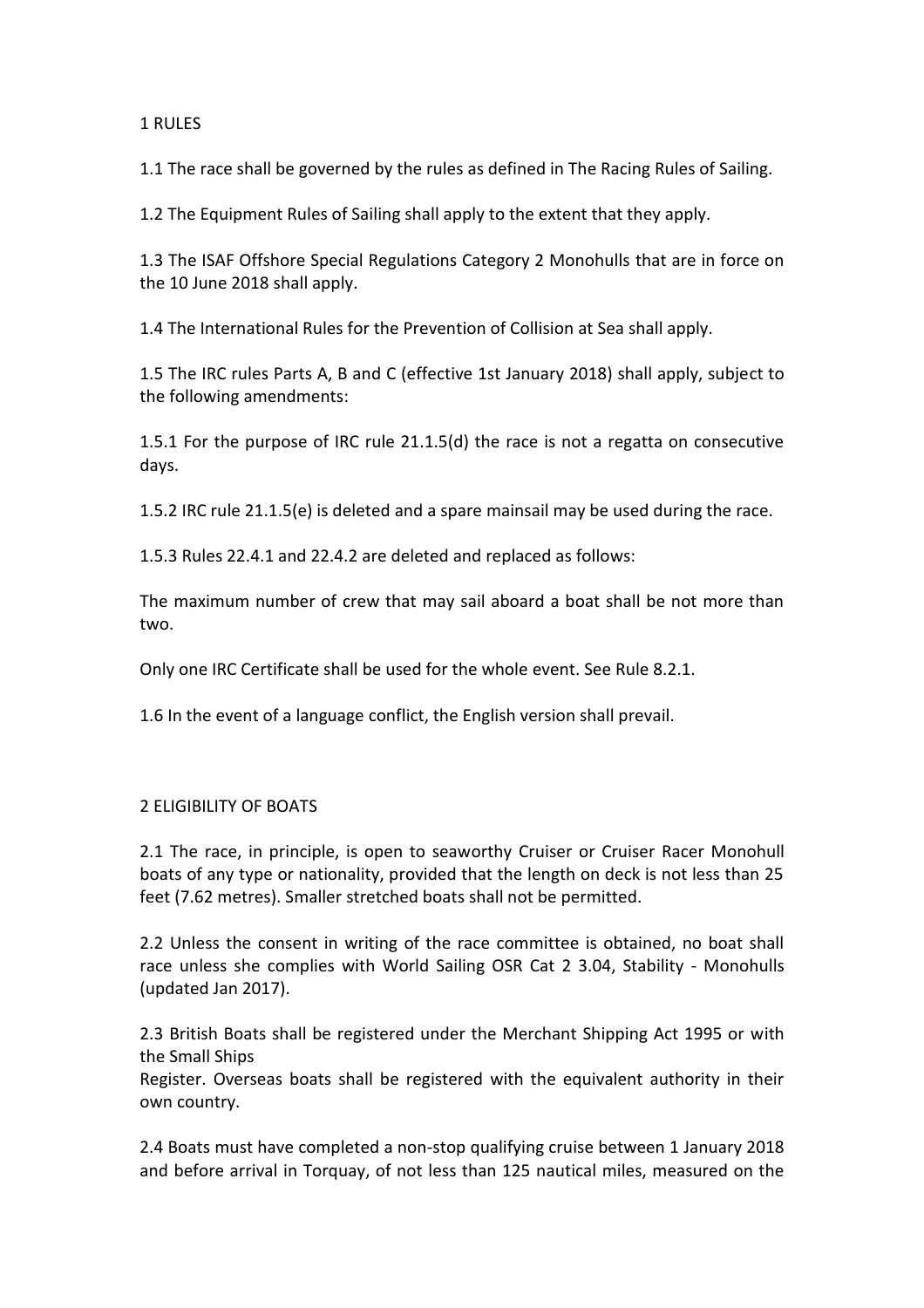# 1 RULES

1.1 The race shall be governed by the rules as defined in The Racing Rules of Sailing.

1.2 The Equipment Rules of Sailing shall apply to the extent that they apply.

1.3 The ISAF Offshore Special Regulations Category 2 Monohulls that are in force on the 10 June 2018 shall apply.

1.4 The International Rules for the Prevention of Collision at Sea shall apply.

1.5 The IRC rules Parts A, B and C (effective 1st January 2018) shall apply, subject to the following amendments:

1.5.1 For the purpose of IRC rule 21.1.5(d) the race is not a regatta on consecutive days.

1.5.2 IRC rule 21.1.5(e) is deleted and a spare mainsail may be used during the race.

1.5.3 Rules 22.4.1 and 22.4.2 are deleted and replaced as follows:

The maximum number of crew that may sail aboard a boat shall be not more than two.

Only one IRC Certificate shall be used for the whole event. See Rule 8.2.1.

1.6 In the event of a language conflict, the English version shall prevail.

## 2 ELIGIBILITY OF BOATS

2.1 The race, in principle, is open to seaworthy Cruiser or Cruiser Racer Monohull boats of any type or nationality, provided that the length on deck is not less than 25 feet (7.62 metres). Smaller stretched boats shall not be permitted.

2.2 Unless the consent in writing of the race committee is obtained, no boat shall race unless she complies with World Sailing OSR Cat 2 3.04, Stability - Monohulls (updated Jan 2017).

2.3 British Boats shall be registered under the Merchant Shipping Act 1995 or with the Small Ships

Register. Overseas boats shall be registered with the equivalent authority in their own country.

2.4 Boats must have completed a non-stop qualifying cruise between 1 January 2018 and before arrival in Torquay, of not less than 125 nautical miles, measured on the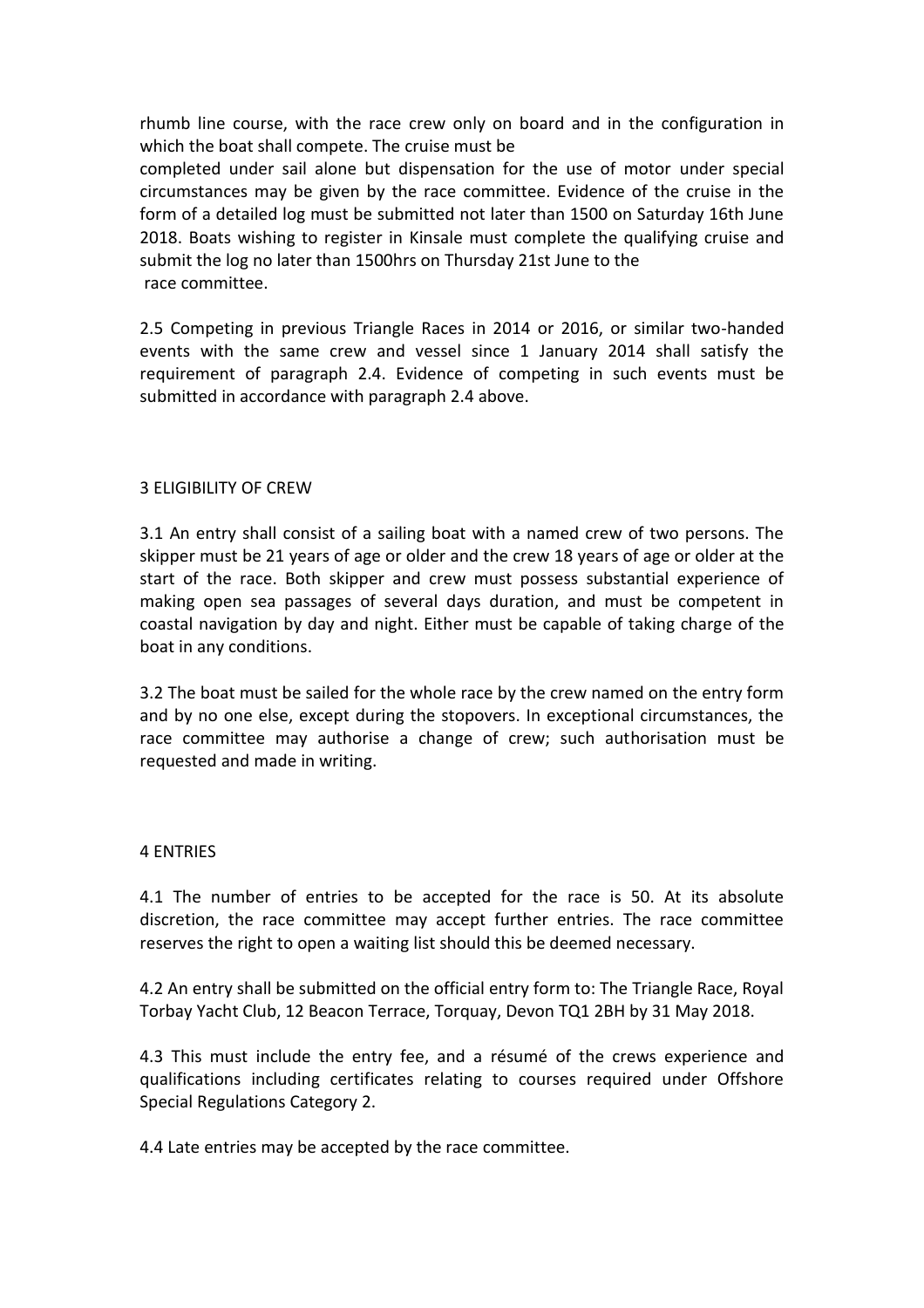rhumb line course, with the race crew only on board and in the configuration in which the boat shall compete. The cruise must be completed under sail alone but dispensation for the use of motor under special circumstances may be given by the race committee. Evidence of the cruise in the form of a detailed log must be submitted not later than 1500 on Saturday 16th June 2018. Boats wishing to register in Kinsale must complete the qualifying cruise and submit the log no later than 1500hrs on Thursday 21st June to the

race committee.

2.5 Competing in previous Triangle Races in 2014 or 2016, or similar two-handed events with the same crew and vessel since 1 January 2014 shall satisfy the requirement of paragraph 2.4. Evidence of competing in such events must be submitted in accordance with paragraph 2.4 above.

# 3 ELIGIBILITY OF CREW

3.1 An entry shall consist of a sailing boat with a named crew of two persons. The skipper must be 21 years of age or older and the crew 18 years of age or older at the start of the race. Both skipper and crew must possess substantial experience of making open sea passages of several days duration, and must be competent in coastal navigation by day and night. Either must be capable of taking charge of the boat in any conditions.

3.2 The boat must be sailed for the whole race by the crew named on the entry form and by no one else, except during the stopovers. In exceptional circumstances, the race committee may authorise a change of crew; such authorisation must be requested and made in writing.

## 4 ENTRIES

4.1 The number of entries to be accepted for the race is 50. At its absolute discretion, the race committee may accept further entries. The race committee reserves the right to open a waiting list should this be deemed necessary.

4.2 An entry shall be submitted on the official entry form to: The Triangle Race, Royal Torbay Yacht Club, 12 Beacon Terrace, Torquay, Devon TQ1 2BH by 31 May 2018.

4.3 This must include the entry fee, and a résumé of the crews experience and qualifications including certificates relating to courses required under Offshore Special Regulations Category 2.

4.4 Late entries may be accepted by the race committee.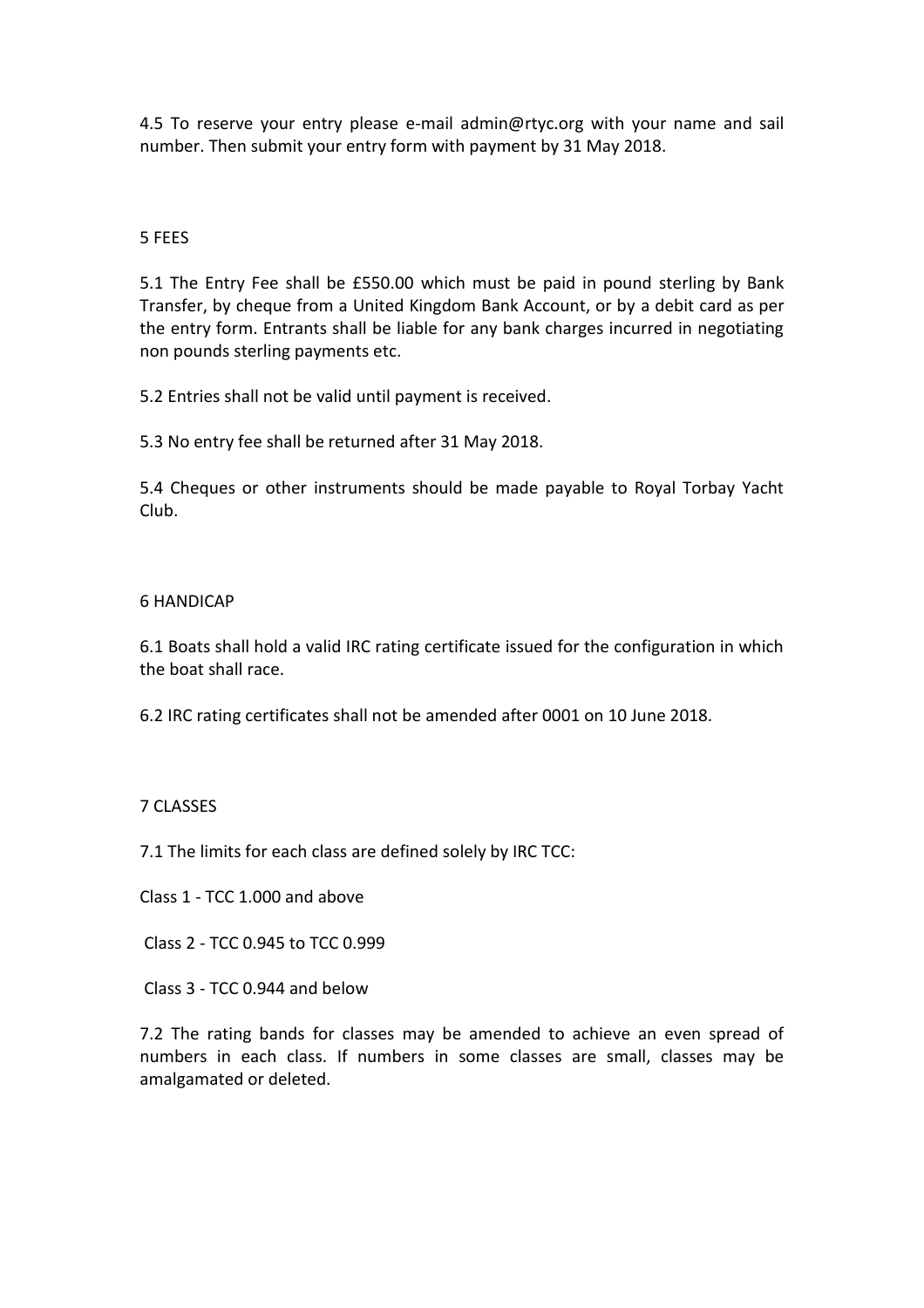4.5 To reserve your entry please e-mail admin@rtyc.org with your name and sail number. Then submit your entry form with payment by 31 May 2018.

## 5 FEES

5.1 The Entry Fee shall be £550.00 which must be paid in pound sterling by Bank Transfer, by cheque from a United Kingdom Bank Account, or by a debit card as per the entry form. Entrants shall be liable for any bank charges incurred in negotiating non pounds sterling payments etc.

5.2 Entries shall not be valid until payment is received.

5.3 No entry fee shall be returned after 31 May 2018.

5.4 Cheques or other instruments should be made payable to Royal Torbay Yacht Club.

## 6 HANDICAP

6.1 Boats shall hold a valid IRC rating certificate issued for the configuration in which the boat shall race.

6.2 IRC rating certificates shall not be amended after 0001 on 10 June 2018.

## 7 CLASSES

7.1 The limits for each class are defined solely by IRC TCC:

Class 1 - TCC 1.000 and above

Class 2 - TCC 0.945 to TCC 0.999

Class 3 - TCC 0.944 and below

7.2 The rating bands for classes may be amended to achieve an even spread of numbers in each class. If numbers in some classes are small, classes may be amalgamated or deleted.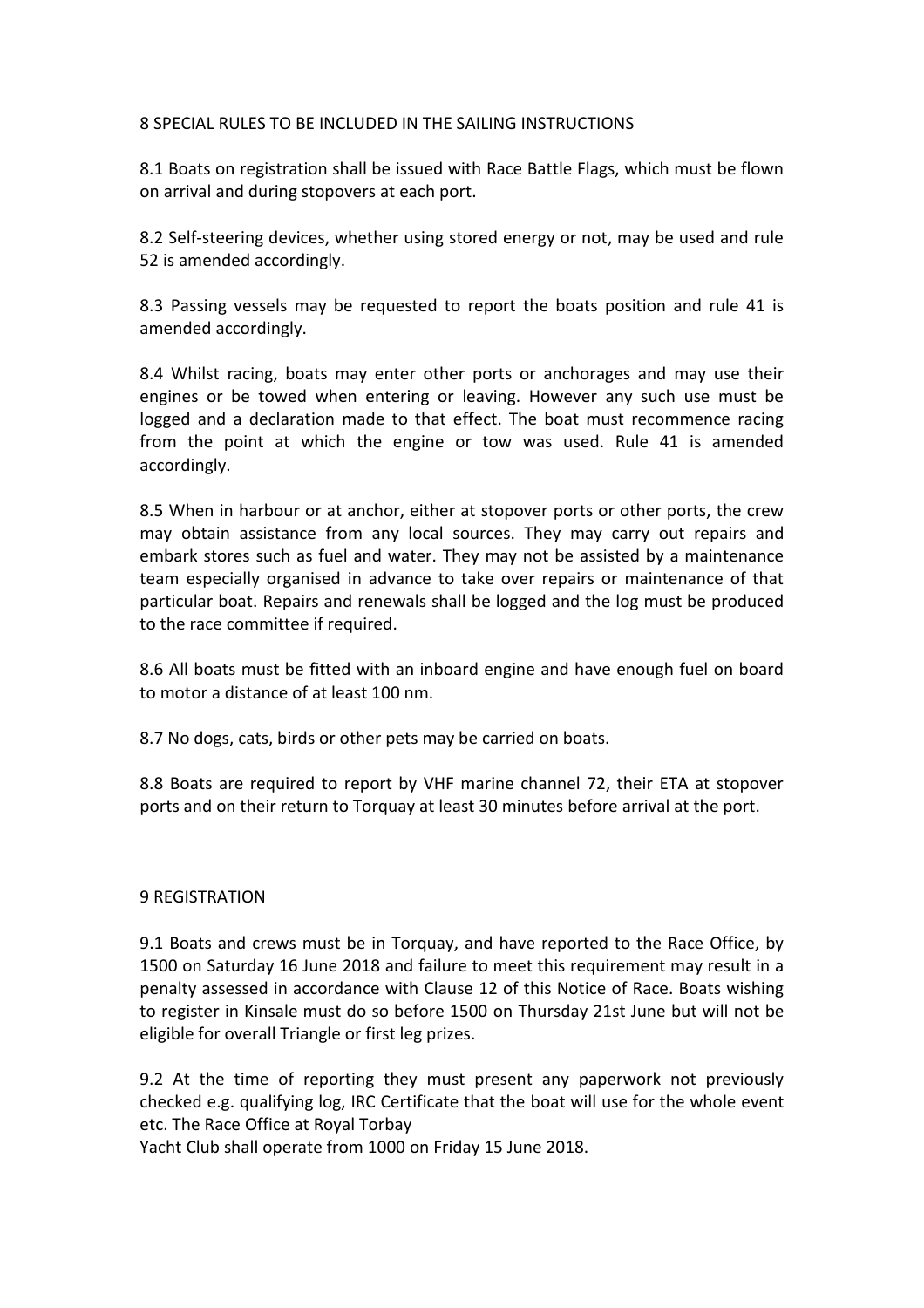# 8 SPECIAL RULES TO BE INCLUDED IN THE SAILING INSTRUCTIONS

8.1 Boats on registration shall be issued with Race Battle Flags, which must be flown on arrival and during stopovers at each port.

8.2 Self-steering devices, whether using stored energy or not, may be used and rule 52 is amended accordingly.

8.3 Passing vessels may be requested to report the boats position and rule 41 is amended accordingly.

8.4 Whilst racing, boats may enter other ports or anchorages and may use their engines or be towed when entering or leaving. However any such use must be logged and a declaration made to that effect. The boat must recommence racing from the point at which the engine or tow was used. Rule 41 is amended accordingly.

8.5 When in harbour or at anchor, either at stopover ports or other ports, the crew may obtain assistance from any local sources. They may carry out repairs and embark stores such as fuel and water. They may not be assisted by a maintenance team especially organised in advance to take over repairs or maintenance of that particular boat. Repairs and renewals shall be logged and the log must be produced to the race committee if required.

8.6 All boats must be fitted with an inboard engine and have enough fuel on board to motor a distance of at least 100 nm.

8.7 No dogs, cats, birds or other pets may be carried on boats.

8.8 Boats are required to report by VHF marine channel 72, their ETA at stopover ports and on their return to Torquay at least 30 minutes before arrival at the port.

## 9 REGISTRATION

9.1 Boats and crews must be in Torquay, and have reported to the Race Office, by 1500 on Saturday 16 June 2018 and failure to meet this requirement may result in a penalty assessed in accordance with Clause 12 of this Notice of Race. Boats wishing to register in Kinsale must do so before 1500 on Thursday 21st June but will not be eligible for overall Triangle or first leg prizes.

9.2 At the time of reporting they must present any paperwork not previously checked e.g. qualifying log, IRC Certificate that the boat will use for the whole event etc. The Race Office at Royal Torbay

Yacht Club shall operate from 1000 on Friday 15 June 2018.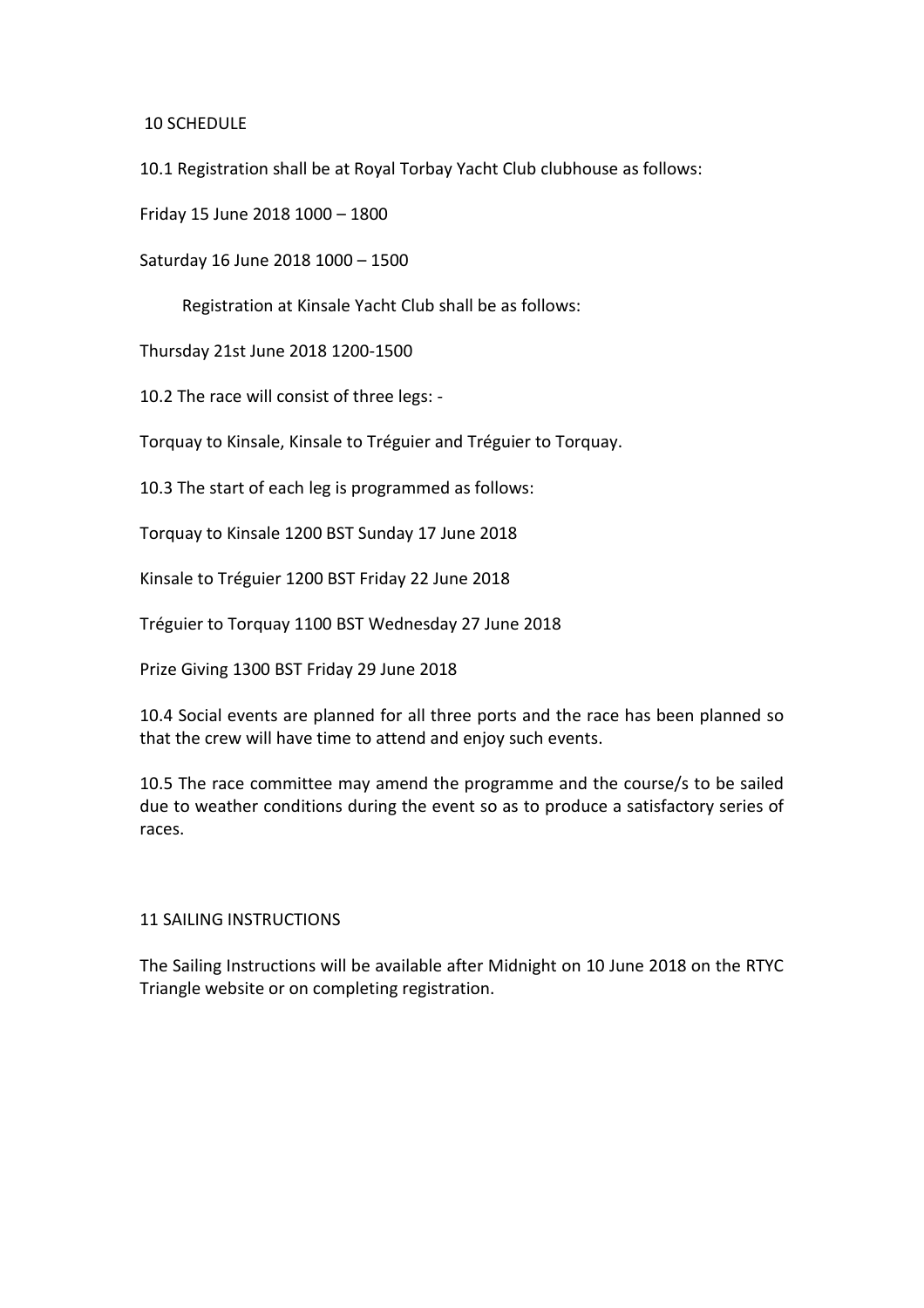10 SCHEDULE

10.1 Registration shall be at Royal Torbay Yacht Club clubhouse as follows:

Friday 15 June 2018 1000 – 1800

Saturday 16 June 2018 1000 – 1500

Registration at Kinsale Yacht Club shall be as follows:

Thursday 21st June 2018 1200-1500

10.2 The race will consist of three legs: -

Torquay to Kinsale, Kinsale to Tréguier and Tréguier to Torquay.

10.3 The start of each leg is programmed as follows:

Torquay to Kinsale 1200 BST Sunday 17 June 2018

Kinsale to Tréguier 1200 BST Friday 22 June 2018

Tréguier to Torquay 1100 BST Wednesday 27 June 2018

Prize Giving 1300 BST Friday 29 June 2018

10.4 Social events are planned for all three ports and the race has been planned so that the crew will have time to attend and enjoy such events.

10.5 The race committee may amend the programme and the course/s to be sailed due to weather conditions during the event so as to produce a satisfactory series of races.

#### 11 SAILING INSTRUCTIONS

The Sailing Instructions will be available after Midnight on 10 June 2018 on the RTYC Triangle website or on completing registration.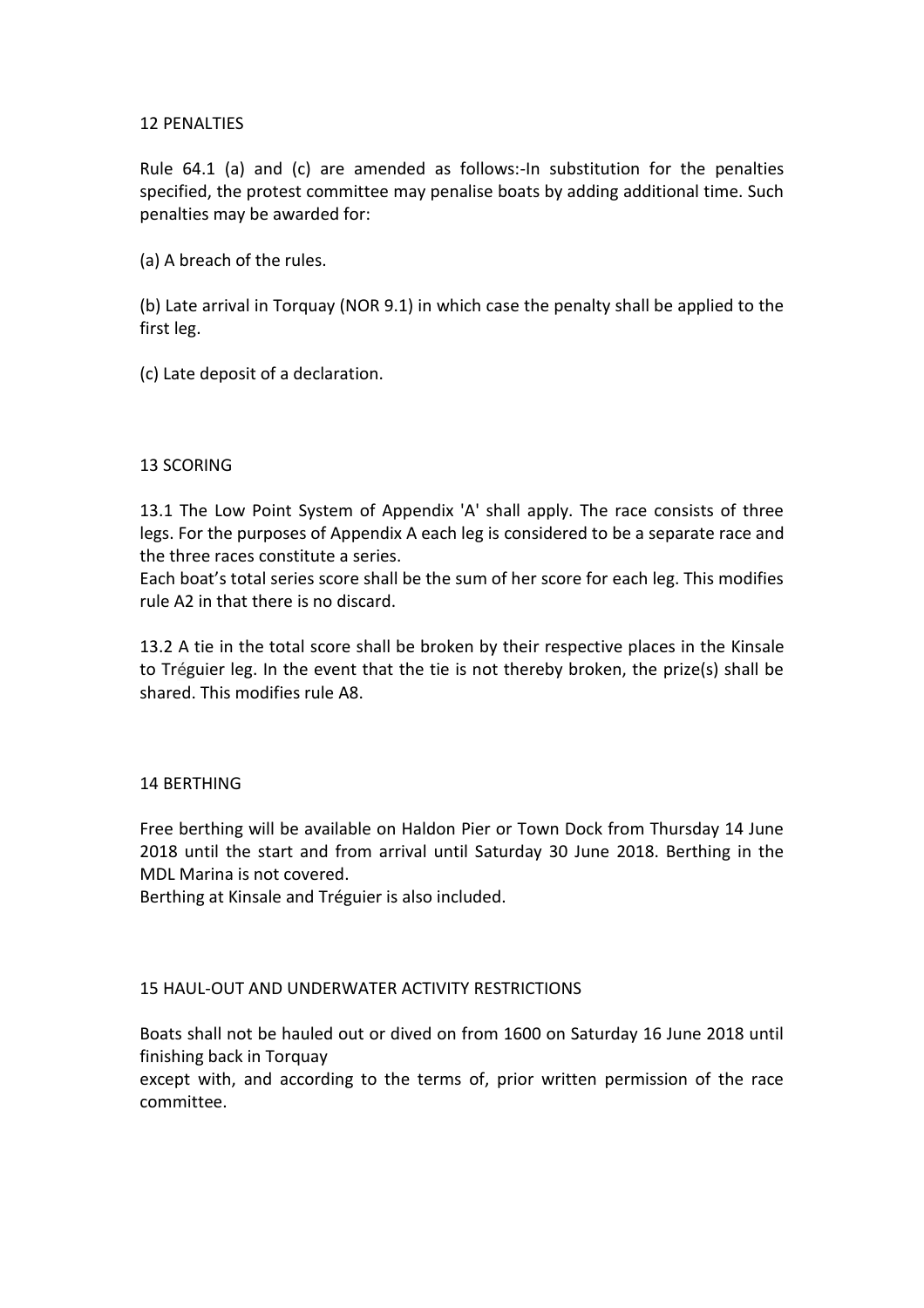## 12 PENALTIES

Rule 64.1 (a) and (c) are amended as follows:-In substitution for the penalties specified, the protest committee may penalise boats by adding additional time. Such penalties may be awarded for:

(a) A breach of the rules.

(b) Late arrival in Torquay (NOR 9.1) in which case the penalty shall be applied to the first leg.

(c) Late deposit of a declaration.

## 13 SCORING

13.1 The Low Point System of Appendix 'A' shall apply. The race consists of three legs. For the purposes of Appendix A each leg is considered to be a separate race and the three races constitute a series.

Each boat's total series score shall be the sum of her score for each leg. This modifies rule A2 in that there is no discard.

13.2 A tie in the total score shall be broken by their respective places in the Kinsale to Tréguier leg. In the event that the tie is not thereby broken, the prize(s) shall be shared. This modifies rule A8.

#### 14 BERTHING

Free berthing will be available on Haldon Pier or Town Dock from Thursday 14 June 2018 until the start and from arrival until Saturday 30 June 2018. Berthing in the MDL Marina is not covered.

Berthing at Kinsale and Tréguier is also included.

## 15 HAUL-OUT AND UNDERWATER ACTIVITY RESTRICTIONS

Boats shall not be hauled out or dived on from 1600 on Saturday 16 June 2018 until finishing back in Torquay

except with, and according to the terms of, prior written permission of the race committee.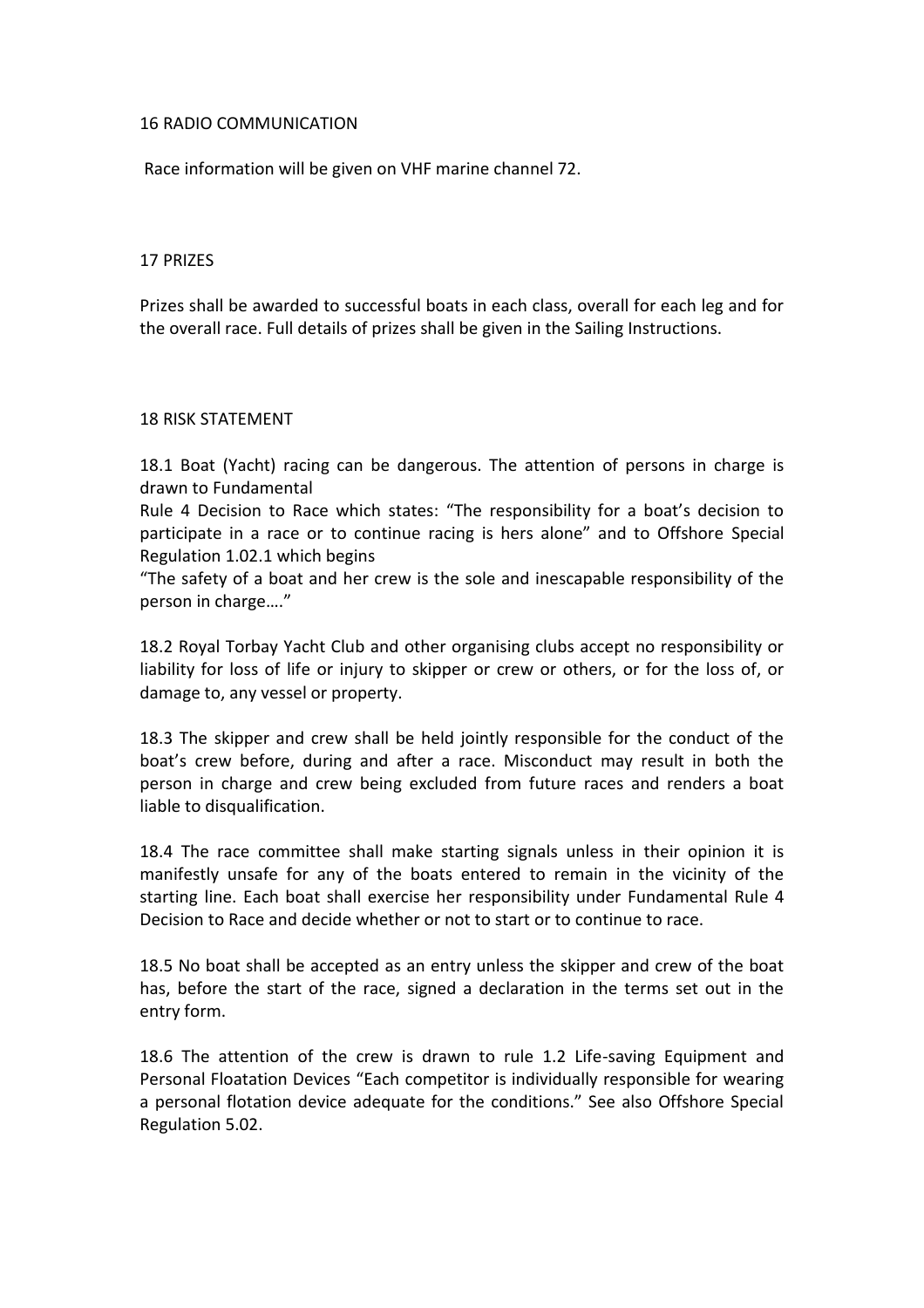## 16 RADIO COMMUNICATION

Race information will be given on VHF marine channel 72.

#### 17 PRIZES

Prizes shall be awarded to successful boats in each class, overall for each leg and for the overall race. Full details of prizes shall be given in the Sailing Instructions.

#### 18 RISK STATEMENT

18.1 Boat (Yacht) racing can be dangerous. The attention of persons in charge is drawn to Fundamental

Rule 4 Decision to Race which states: "The responsibility for a boat's decision to participate in a race or to continue racing is hers alone" and to Offshore Special Regulation 1.02.1 which begins

"The safety of a boat and her crew is the sole and inescapable responsibility of the person in charge…."

18.2 Royal Torbay Yacht Club and other organising clubs accept no responsibility or liability for loss of life or injury to skipper or crew or others, or for the loss of, or damage to, any vessel or property.

18.3 The skipper and crew shall be held jointly responsible for the conduct of the boat's crew before, during and after a race. Misconduct may result in both the person in charge and crew being excluded from future races and renders a boat liable to disqualification.

18.4 The race committee shall make starting signals unless in their opinion it is manifestly unsafe for any of the boats entered to remain in the vicinity of the starting line. Each boat shall exercise her responsibility under Fundamental Rule 4 Decision to Race and decide whether or not to start or to continue to race.

18.5 No boat shall be accepted as an entry unless the skipper and crew of the boat has, before the start of the race, signed a declaration in the terms set out in the entry form.

18.6 The attention of the crew is drawn to rule 1.2 Life-saving Equipment and Personal Floatation Devices "Each competitor is individually responsible for wearing a personal flotation device adequate for the conditions." See also Offshore Special Regulation 5.02.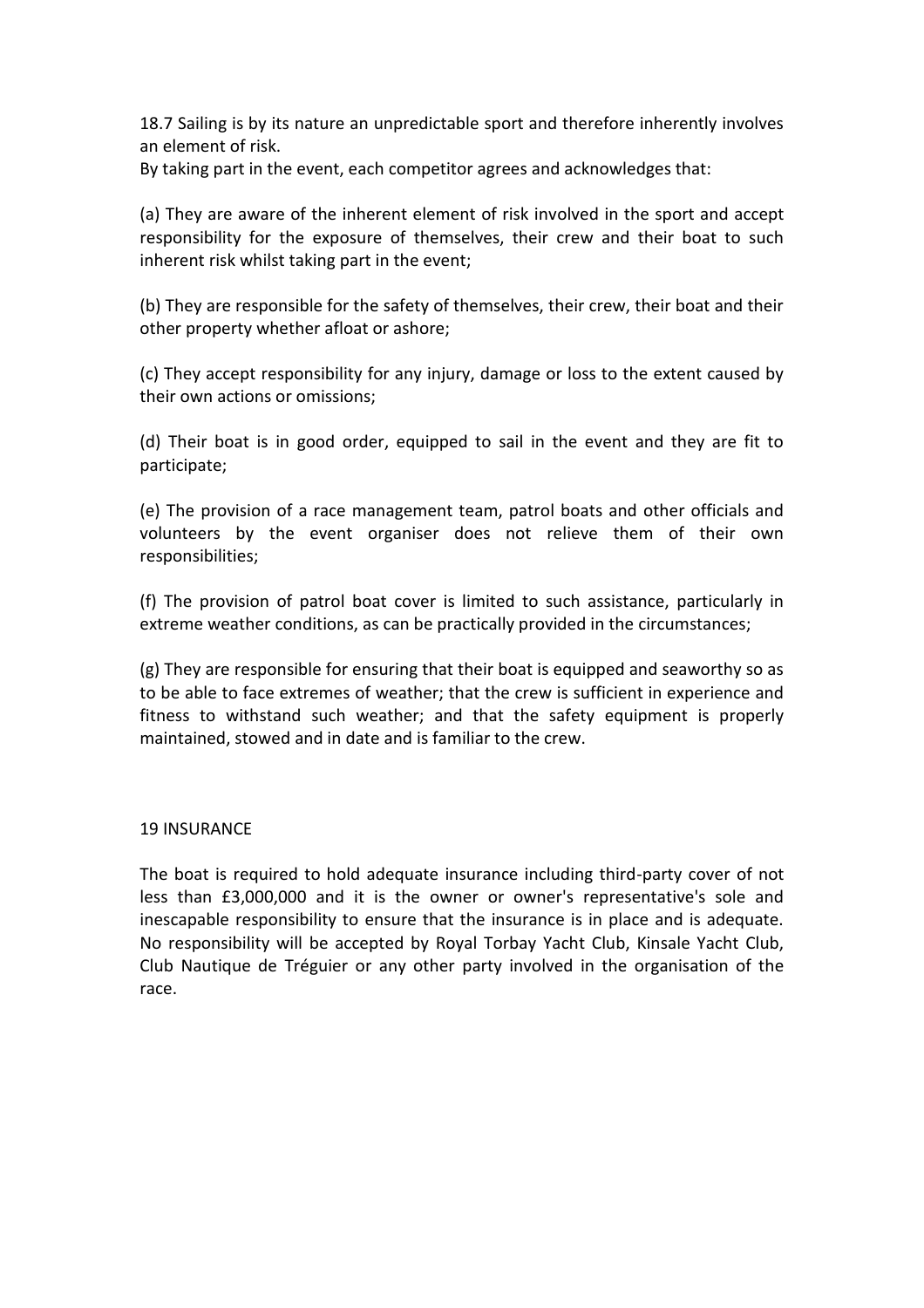18.7 Sailing is by its nature an unpredictable sport and therefore inherently involves an element of risk.

By taking part in the event, each competitor agrees and acknowledges that:

(a) They are aware of the inherent element of risk involved in the sport and accept responsibility for the exposure of themselves, their crew and their boat to such inherent risk whilst taking part in the event;

(b) They are responsible for the safety of themselves, their crew, their boat and their other property whether afloat or ashore;

(c) They accept responsibility for any injury, damage or loss to the extent caused by their own actions or omissions;

(d) Their boat is in good order, equipped to sail in the event and they are fit to participate;

(e) The provision of a race management team, patrol boats and other officials and volunteers by the event organiser does not relieve them of their own responsibilities;

(f) The provision of patrol boat cover is limited to such assistance, particularly in extreme weather conditions, as can be practically provided in the circumstances;

(g) They are responsible for ensuring that their boat is equipped and seaworthy so as to be able to face extremes of weather; that the crew is sufficient in experience and fitness to withstand such weather; and that the safety equipment is properly maintained, stowed and in date and is familiar to the crew.

## 19 INSURANCE

The boat is required to hold adequate insurance including third-party cover of not less than £3,000,000 and it is the owner or owner's representative's sole and inescapable responsibility to ensure that the insurance is in place and is adequate. No responsibility will be accepted by Royal Torbay Yacht Club, Kinsale Yacht Club, Club Nautique de Tréguier or any other party involved in the organisation of the race.